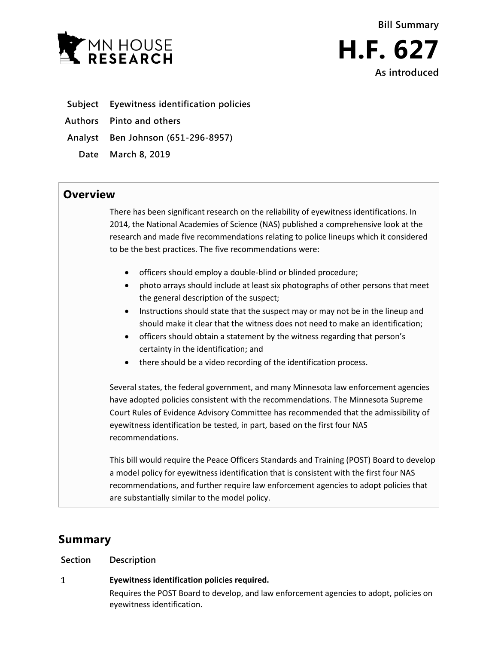



- **Subject Eyewitness identification policies**
- **Authors Pinto and others**
- **Analyst Ben Johnson (651-296-8957)**
	- **Date March 8, 2019**

## **Overview**

There has been significant research on the reliability of eyewitness identifications. In 2014, the National Academies of Science (NAS) published a comprehensive look at the research and made five recommendations relating to police lineups which it considered to be the best practices. The five recommendations were:

- officers should employ a double-blind or blinded procedure;
- photo arrays should include at least six photographs of other persons that meet the general description of the suspect;
- Instructions should state that the suspect may or may not be in the lineup and should make it clear that the witness does not need to make an identification;
- officers should obtain a statement by the witness regarding that person's certainty in the identification; and
- there should be a video recording of the identification process.

Several states, the federal government, and many Minnesota law enforcement agencies have adopted policies consistent with the recommendations. The Minnesota Supreme Court Rules of Evidence Advisory Committee has recommended that the admissibility of eyewitness identification be tested, in part, based on the first four NAS recommendations.

This bill would require the Peace Officers Standards and Training (POST) Board to develop a model policy for eyewitness identification that is consistent with the first four NAS recommendations, and further require law enforcement agencies to adopt policies that are substantially similar to the model policy.

## **Summary**

| Section | Description                                                                                                          |
|---------|----------------------------------------------------------------------------------------------------------------------|
|         | Eyewitness identification policies required.                                                                         |
|         | Requires the POST Board to develop, and law enforcement agencies to adopt, policies on<br>eyewitness identification. |